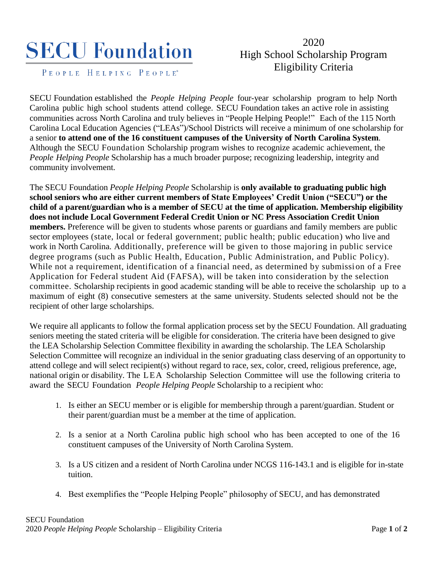## **SECU Foundation**

PEOPLE HELPING PEOPLE<sup>®</sup>

## 2020 High School Scholarship Program Eligibility Criteria

SECU Foundation established the *People Helping People* four-year scholarship program to help North Carolina public high school students attend college. SECU Foundation takes an active role in assisting communities across North Carolina and truly believes in "People Helping People!" Each of the 115 North Carolina Local Education Agencies ("LEAs")/School Districts will receive a minimum of one scholarship for a senior **to attend one of the 16 constituent campuses of the University of North Carolina System**. Although the SECU Foundation Scholarship program wishes to recognize academic achievement, the *People Helping People* Scholarship has a much broader purpose; recognizing leadership, integrity and community involvement.

The SECU Foundation *People Helping People* Scholarship is **only available to graduating public high school seniors who are either current members of State Employees' Credit Union ("SECU") or the child of a parent/guardian who is a member of SECU at the time of application. Membership eligibility does not include Local Government Federal Credit Union or NC Press Association Credit Union members.** Preference will be given to students whose parents or guardians and family members are public sector employees (state, local or federal government; public health; public education) who live and work in North Carolina. Additionally, preference will be given to those majoring in public service degree programs (such as Public Health, Education, Public Administration, and Public Policy). While not a requirement, identification of a financial need, as determined by submissi on of a Free Application for Federal student Aid (FAFSA), will be taken into consideration by the selection committee. Scholarship recipients in good academic standing will be able to receive the scholarship up to a maximum of eight (8) consecutive semesters at the same university. Students selected should not be the recipient of other large scholarships.

We require all applicants to follow the formal application process set by the SECU Foundation. All graduating seniors meeting the stated criteria will be eligible for consideration. The criteria have been designed to give the LEA Scholarship Selection Committee flexibility in awarding the scholarship. The LEA Scholarship Selection Committee will recognize an individual in the senior graduating class deserving of an opportunity to attend college and will select recipient(s) without regard to race, sex, color, creed, religious preference, age, national origin or disability. The LEA Scholarship Selection Committee will use the following criteria to award the SECU Foundation *People Helping People* Scholarship to a recipient who:

- 1. Is either an SECU member or is eligible for membership through a parent/guardian. Student or their parent/guardian must be a member at the time of application.
- 2. Is a senior at a North Carolina public high school who has been accepted to one of the 16 constituent campuses of the University of North Carolina System.
- 3. Is a US citizen and a resident of North Carolina under NCGS 116-143.1 and is eligible for in-state tuition.
- 4. Best exemplifies the "People Helping People" philosophy of SECU, and has demonstrated